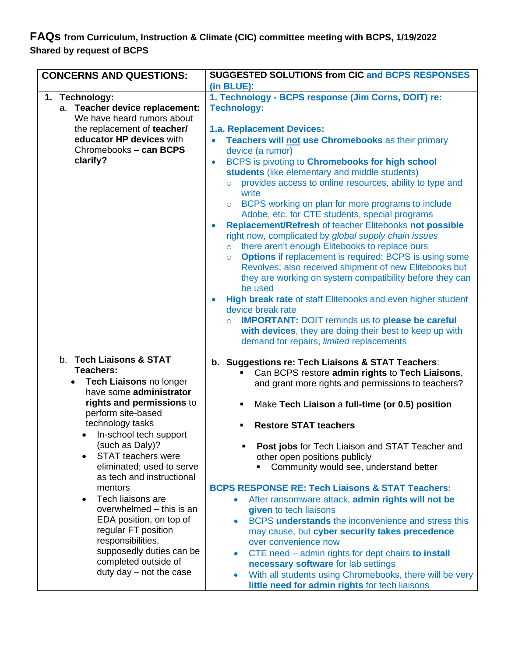## **FAQs from Curriculum, Instruction & Climate (CIC) committee meeting with BCPS, 1/19/2022 Shared by request of BCPS**

| <b>CONCERNS AND QUESTIONS:</b>                                                                                                                                                                                                                                                                                                                                                                                                                                                                                                                                   | <b>SUGGESTED SOLUTIONS from CIC and BCPS RESPONSES</b>                                                                                                                                                                                                                                                                                                                                                                                                                                                                                                                                                                                                                                                                                                                                                                                                                                                                                                                                                                                                                                                                                                                                                          |
|------------------------------------------------------------------------------------------------------------------------------------------------------------------------------------------------------------------------------------------------------------------------------------------------------------------------------------------------------------------------------------------------------------------------------------------------------------------------------------------------------------------------------------------------------------------|-----------------------------------------------------------------------------------------------------------------------------------------------------------------------------------------------------------------------------------------------------------------------------------------------------------------------------------------------------------------------------------------------------------------------------------------------------------------------------------------------------------------------------------------------------------------------------------------------------------------------------------------------------------------------------------------------------------------------------------------------------------------------------------------------------------------------------------------------------------------------------------------------------------------------------------------------------------------------------------------------------------------------------------------------------------------------------------------------------------------------------------------------------------------------------------------------------------------|
| 1. Technology:<br>a. Teacher device replacement:<br>We have heard rumors about<br>the replacement of teacher/<br>educator HP devices with<br>Chromebooks - can BCPS<br>clarify?                                                                                                                                                                                                                                                                                                                                                                                  | (in BLUE):<br>1. Technology - BCPS response (Jim Corns, DOIT) re:<br><b>Technology:</b><br>1.a. Replacement Devices:<br>Teachers will not use Chromebooks as their primary<br>device (a rumor)<br>BCPS is pivoting to Chromebooks for high school<br>$\bullet$<br>students (like elementary and middle students)<br>provides access to online resources, ability to type and<br>$\circ$<br>write<br>BCPS working on plan for more programs to include<br>$\circ$<br>Adobe, etc. for CTE students, special programs<br><b>Replacement/Refresh of teacher Elitebooks not possible</b><br>$\bullet$<br>right now, complicated by global supply chain issues<br>there aren't enough Elitebooks to replace ours<br>$\circ$<br><b>Options</b> if replacement is required: BCPS is using some<br>$\circ$<br>Revolves; also received shipment of new Elitebooks but<br>they are working on system compatibility before they can<br>be used<br>High break rate of staff Elitebooks and even higher student<br>$\bullet$<br>device break rate<br><b>IMPORTANT: DOIT reminds us to please be careful</b><br>$\circ$<br>with devices, they are doing their best to keep up with<br>demand for repairs, limited replacements |
| b. Tech Liaisons & STAT<br>Teachers:<br>Tech Liaisons no longer<br>$\bullet$<br>have some administrator<br>rights and permissions to<br>perform site-based<br>technology tasks<br>In-school tech support<br>(such as Daly)?<br><b>STAT teachers were</b><br>$\bullet$<br>eliminated; used to serve<br>as tech and instructional<br>mentors<br>Tech liaisons are<br>$\bullet$<br>overwhelmed - this is an<br>EDA position, on top of<br>regular FT position<br>responsibilities,<br>supposedly duties can be<br>completed outside of<br>duty day $-$ not the case | b. Suggestions re: Tech Liaisons & STAT Teachers:<br>Can BCPS restore admin rights to Tech Liaisons,<br>and grant more rights and permissions to teachers?<br>Make Tech Liaison a full-time (or 0.5) position<br>٠<br><b>Restore STAT teachers</b><br>٠<br>Post jobs for Tech Liaison and STAT Teacher and<br>other open positions publicly<br>Community would see, understand better<br><b>BCPS RESPONSE RE: Tech Liaisons &amp; STAT Teachers:</b><br>After ransomware attack, admin rights will not be<br>۰<br>given to tech liaisons<br>BCPS understands the inconvenience and stress this<br>$\bullet$<br>may cause, but cyber security takes precedence<br>over convenience now<br>CTE need - admin rights for dept chairs to install<br>$\bullet$<br>necessary software for lab settings<br>With all students using Chromebooks, there will be very<br>$\bullet$<br>little need for admin rights for tech liaisons                                                                                                                                                                                                                                                                                       |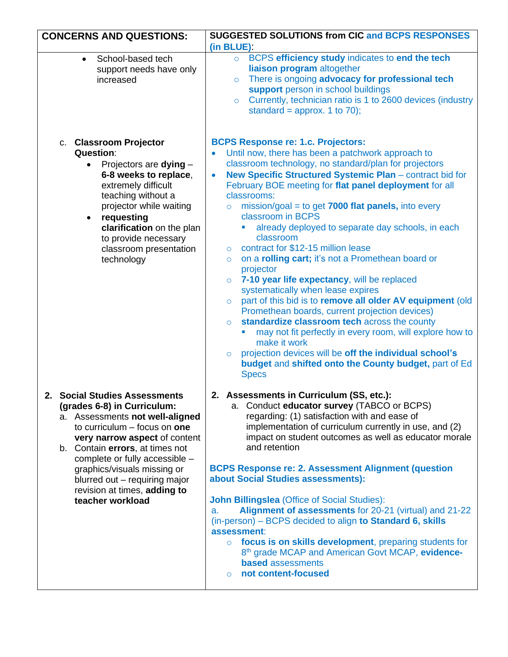| <b>CONCERNS AND QUESTIONS:</b>                                                                                                                                                                                                                                                                                                                              | <b>SUGGESTED SOLUTIONS from CIC and BCPS RESPONSES</b>                                                                                                                                                                                                                                                                                                                                                                                                                                                                                                                                                                                                                                                                                                                                                                                                                                                                                                                                                                                                                                                          |
|-------------------------------------------------------------------------------------------------------------------------------------------------------------------------------------------------------------------------------------------------------------------------------------------------------------------------------------------------------------|-----------------------------------------------------------------------------------------------------------------------------------------------------------------------------------------------------------------------------------------------------------------------------------------------------------------------------------------------------------------------------------------------------------------------------------------------------------------------------------------------------------------------------------------------------------------------------------------------------------------------------------------------------------------------------------------------------------------------------------------------------------------------------------------------------------------------------------------------------------------------------------------------------------------------------------------------------------------------------------------------------------------------------------------------------------------------------------------------------------------|
|                                                                                                                                                                                                                                                                                                                                                             | (in BLUE):                                                                                                                                                                                                                                                                                                                                                                                                                                                                                                                                                                                                                                                                                                                                                                                                                                                                                                                                                                                                                                                                                                      |
| School-based tech<br>$\bullet$<br>support needs have only<br>increased                                                                                                                                                                                                                                                                                      | ○ BCPS efficiency study indicates to end the tech<br>liaison program altogether<br>There is ongoing advocacy for professional tech<br>$\circ$<br>support person in school buildings<br>Currently, technician ratio is 1 to 2600 devices (industry<br>$\circ$<br>standard = approx. 1 to 70);                                                                                                                                                                                                                                                                                                                                                                                                                                                                                                                                                                                                                                                                                                                                                                                                                    |
| c. Classroom Projector<br><b>Question:</b><br>Projectors are dying -<br>$\bullet$<br>6-8 weeks to replace,<br>extremely difficult<br>teaching without a<br>projector while waiting<br>requesting<br>$\bullet$<br>clarification on the plan<br>to provide necessary<br>classroom presentation<br>technology                                                  | <b>BCPS Response re: 1.c. Projectors:</b><br>Until now, there has been a patchwork approach to<br>classroom technology, no standard/plan for projectors<br>New Specific Structured Systemic Plan - contract bid for<br>$\bullet$<br>February BOE meeting for flat panel deployment for all<br>classrooms:<br>$mission/goal = to get 7000 flat panels, into every$<br>$\circ$<br>classroom in BCPS<br>already deployed to separate day schools, in each<br>classroom<br>contract for \$12-15 million lease<br>$\circ$<br>on a rolling cart; it's not a Promethean board or<br>$\circ$<br>projector<br>7-10 year life expectancy, will be replaced<br>$\circ$<br>systematically when lease expires<br>part of this bid is to remove all older AV equipment (old<br>$\circ$<br>Promethean boards, current projection devices)<br>standardize classroom tech across the county<br>$\circ$<br>may not fit perfectly in every room, will explore how to<br>make it work<br>projection devices will be off the individual school's<br>$\circ$<br>budget and shifted onto the County budget, part of Ed<br><b>Specs</b> |
| 2. Social Studies Assessments<br>(grades 6-8) in Curriculum:<br>a. Assessments not well-aligned<br>to curriculum $-$ focus on one<br>very narrow aspect of content<br>b. Contain errors, at times not<br>complete or fully accessible -<br>graphics/visuals missing or<br>blurred out - requiring major<br>revision at times, adding to<br>teacher workload | 2. Assessments in Curriculum (SS, etc.):<br>a. Conduct educator survey (TABCO or BCPS)<br>regarding: (1) satisfaction with and ease of<br>implementation of curriculum currently in use, and (2)<br>impact on student outcomes as well as educator morale<br>and retention<br><b>BCPS Response re: 2. Assessment Alignment (question)</b><br>about Social Studies assessments):<br><b>John Billingslea (Office of Social Studies):</b><br>Alignment of assessments for 20-21 (virtual) and 21-22<br>a.<br>(in-person) – BCPS decided to align to Standard 6, skills<br>assessment:<br>focus is on skills development, preparing students for<br>$\circ$<br>8th grade MCAP and American Govt MCAP, evidence-<br><b>based</b> assessments<br>not content-focused<br>$\Omega$                                                                                                                                                                                                                                                                                                                                      |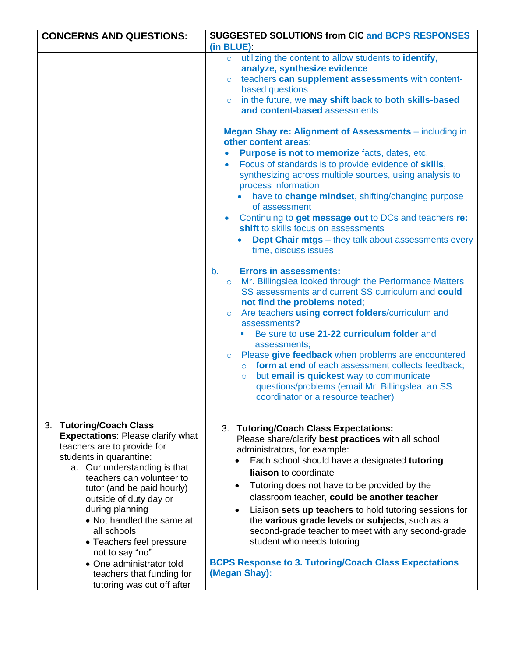| <b>CONCERNS AND QUESTIONS:</b>                                      | <b>SUGGESTED SOLUTIONS from CIC and BCPS RESPONSES</b>                                                               |
|---------------------------------------------------------------------|----------------------------------------------------------------------------------------------------------------------|
|                                                                     | (in BLUE):                                                                                                           |
|                                                                     | utilizing the content to allow students to identify,<br>$\circ$                                                      |
|                                                                     | analyze, synthesize evidence<br>teachers can supplement assessments with content-<br>$\circ$                         |
|                                                                     | based questions                                                                                                      |
|                                                                     | in the future, we may shift back to both skills-based<br>$\circ$                                                     |
|                                                                     | and content-based assessments                                                                                        |
|                                                                     | Megan Shay re: Alignment of Assessments - including in<br>other content areas:                                       |
|                                                                     | Purpose is not to memorize facts, dates, etc.                                                                        |
|                                                                     | Focus of standards is to provide evidence of skills,                                                                 |
|                                                                     | synthesizing across multiple sources, using analysis to<br>process information                                       |
|                                                                     | have to change mindset, shifting/changing purpose<br>of assessment                                                   |
|                                                                     | Continuing to get message out to DCs and teachers re:<br>shift to skills focus on assessments                        |
|                                                                     | <b>Dept Chair mtgs</b> – they talk about assessments every<br>time, discuss issues                                   |
|                                                                     | <b>Errors in assessments:</b><br>b.<br>Mr. Billingslea looked through the Performance Matters<br>$\circ$             |
|                                                                     | SS assessments and current SS curriculum and could                                                                   |
|                                                                     | not find the problems noted;                                                                                         |
|                                                                     | Are teachers using correct folders/curriculum and<br>$\circ$<br>assessments?                                         |
|                                                                     | Be sure to use 21-22 curriculum folder and                                                                           |
|                                                                     | assessments;                                                                                                         |
|                                                                     | Please give feedback when problems are encountered<br>$\circ$<br>o form at end of each assessment collects feedback; |
|                                                                     | but email is quickest way to communicate<br>$\circ$                                                                  |
|                                                                     | questions/problems (email Mr. Billingslea, an SS                                                                     |
|                                                                     | coordinator or a resource teacher)                                                                                   |
|                                                                     |                                                                                                                      |
| 3. Tutoring/Coach Class<br><b>Expectations: Please clarify what</b> | 3. Tutoring/Coach Class Expectations:                                                                                |
| teachers are to provide for                                         | Please share/clarify best practices with all school<br>administrators, for example:                                  |
| students in quarantine:                                             | Each school should have a designated tutoring                                                                        |
| a. Our understanding is that<br>teachers can volunteer to           | liaison to coordinate                                                                                                |
| tutor (and be paid hourly)                                          | Tutoring does not have to be provided by the<br>$\bullet$                                                            |
| outside of duty day or                                              | classroom teacher, could be another teacher                                                                          |
| during planning<br>• Not handled the same at                        | Liaison sets up teachers to hold tutoring sessions for<br>the various grade levels or subjects, such as a            |
| all schools                                                         | second-grade teacher to meet with any second-grade                                                                   |
| • Teachers feel pressure                                            | student who needs tutoring                                                                                           |
| not to say "no"                                                     |                                                                                                                      |
| • One administrator told<br>teachers that funding for               | <b>BCPS Response to 3. Tutoring/Coach Class Expectations</b><br>(Megan Shay):                                        |
| tutoring was cut off after                                          |                                                                                                                      |